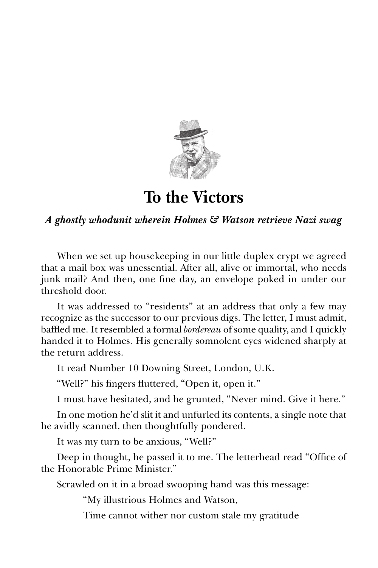

**To the Victors**

## *A ghostly whodunit wherein Holmes & Watson retrieve Nazi swag*

When we set up housekeeping in our little duplex crypt we agreed that a mail box was unessential. After all, alive or immortal, who needs junk mail? And then, one fine day, an envelope poked in under our threshold door.

It was addressed to "residents" at an address that only a few may recognize as the successor to our previous digs. The letter, I must admit, baffled me. It resembled a formal *bordereau* of some quality, and I quickly handed it to Holmes. His generally somnolent eyes widened sharply at the return address.

It read Number 10 Downing Street, London, U.K.

"Well?" his fingers fluttered, "Open it, open it."

I must have hesitated, and he grunted, "Never mind. Give it here."

In one motion he'd slit it and unfurled its contents, a single note that he avidly scanned, then thoughtfully pondered.

It was my turn to be anxious, "Well?"

Deep in thought, he passed it to me. The letterhead read "Office of the Honorable Prime Minister."

Scrawled on it in a broad swooping hand was this message:

"My illustrious Holmes and Watson,

Time cannot wither nor custom stale my gratitude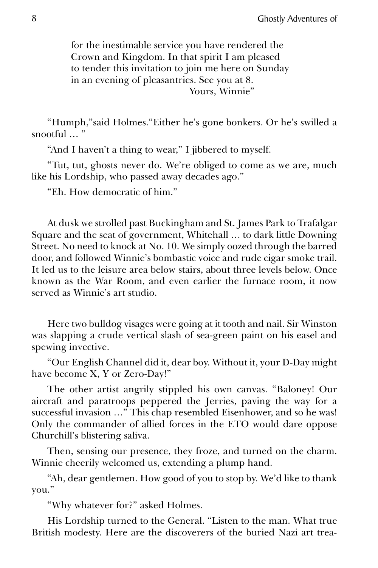for the inestimable service you have rendered the Crown and Kingdom. In that spirit I am pleased to tender this invitation to join me here on Sunday in an evening of pleasantries. See you at 8. Yours, Winnie"

"Humph,"said Holmes."Either he's gone bonkers. Or he's swilled a snootful … "

"And I haven't a thing to wear," I jibbered to myself.

"Tut, tut, ghosts never do. We're obliged to come as we are, much like his Lordship, who passed away decades ago."

"Eh. How democratic of him."

At dusk we strolled past Buckingham and St. James Park to Trafalgar Square and the seat of government, Whitehall … to dark little Downing Street. No need to knock at No. 10. We simply oozed through the barred door, and followed Winnie's bombastic voice and rude cigar smoke trail. It led us to the leisure area below stairs, about three levels below. Once known as the War Room, and even earlier the furnace room, it now served as Winnie's art studio.

Here two bulldog visages were going at it tooth and nail. Sir Winston was slapping a crude vertical slash of sea-green paint on his easel and spewing invective.

"Our English Channel did it, dear boy. Without it, your D-Day might have become X, Y or Zero-Day!"

The other artist angrily stippled his own canvas. "Baloney! Our aircraft and paratroops peppered the Jerries, paving the way for a successful invasion …" This chap resembled Eisenhower, and so he was! Only the commander of allied forces in the ETO would dare oppose Churchill's blistering saliva.

Then, sensing our presence, they froze, and turned on the charm. Winnie cheerily welcomed us, extending a plump hand.

"Ah, dear gentlemen. How good of you to stop by. We'd like to thank you."

"Why whatever for?" asked Holmes.

His Lordship turned to the General. "Listen to the man. What true British modesty. Here are the discoverers of the buried Nazi art trea-